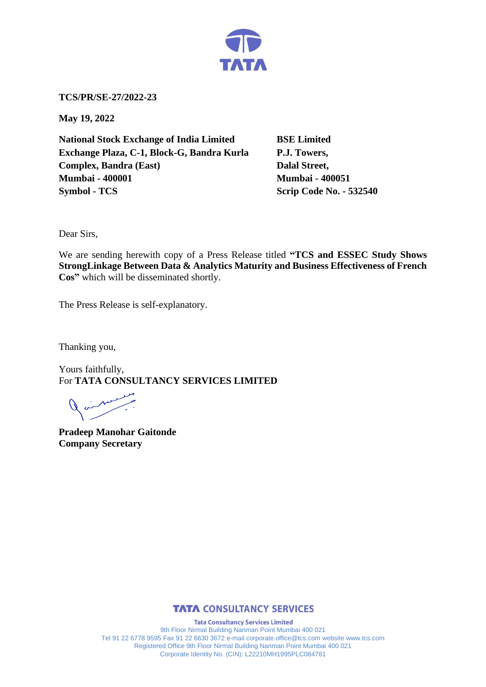

**TCS/PR/SE-27/2022-23**

**May 19, 2022**

**National Stock Exchange of India Limited BSE Limited Exchange Plaza, C-1, Block-G, Bandra Kurla P.J. Towers, Complex, Bandra (East)** Dalal Street, **Mumbai - 400001 Mumbai - 400051 Symbol - TCS Scrip Code No. - 532540** 

Dear Sirs,

We are sending herewith copy of a Press Release titled **"TCS and ESSEC Study Shows StrongLinkage Between Data & Analytics Maturity and Business Effectiveness of French Cos"** which will be disseminated shortly.

The Press Release is self-explanatory.

Thanking you,

Yours faithfully, For **TATA CONSULTANCY SERVICES LIMITED**

مستحسبهم

**Pradeep Manohar Gaitonde Company Secretary**



**Tata Consultancy Services Limited** 9th Floor Nirmal Building Nariman Point Mumbai 400 021 Tel 91 22 6778 9595 Fax 91 22 6630 3672 e-mail corporate.office@tcs.com website www.tcs.com Registered Office 9th Floor Nirmal Building Nariman Point Mumbai 400 021 Corporate Identity No. (CIN): L22210MH1995PLC084781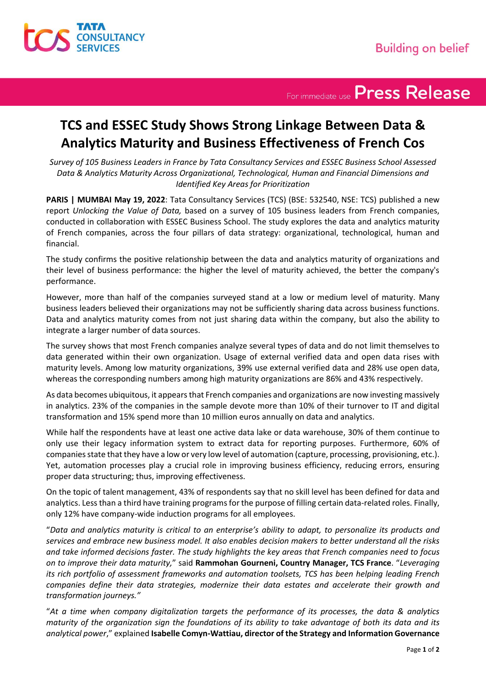

For immediate use Press Release

## **TCS and ESSEC Study Shows Strong Linkage Between Data & Analytics Maturity and Business Effectiveness of French Cos**

*Survey of 105 Business Leaders in France by Tata Consultancy Services and ESSEC Business School Assessed Data & Analytics Maturity Across Organizational, Technological, Human and Financial Dimensions and Identified Key Areas for Prioritization*

**PARIS | MUMBAI May 19, 2022**: Tata Consultancy Services (TCS) (BSE: 532540, NSE: TCS) published a new report *Unlocking the Value of Data,* based on a survey of 105 business leaders from French companies, conducted in collaboration with ESSEC Business School. The study explores the data and analytics maturity of French companies, across the four pillars of data strategy: organizational, technological, human and financial.

The study confirms the positive relationship between the data and analytics maturity of organizations and their level of business performance: the higher the level of maturity achieved, the better the company's performance.

However, more than half of the companies surveyed stand at a low or medium level of maturity. Many business leaders believed their organizations may not be sufficiently sharing data across business functions. Data and analytics maturity comes from not just sharing data within the company, but also the ability to integrate a larger number of data sources.

The survey shows that most French companies analyze several types of data and do not limit themselves to data generated within their own organization. Usage of external verified data and open data rises with maturity levels. Among low maturity organizations, 39% use external verified data and 28% use open data, whereas the corresponding numbers among high maturity organizations are 86% and 43% respectively.

As data becomes ubiquitous, it appears that French companies and organizations are now investing massively in analytics. 23% of the companies in the sample devote more than 10% of their turnover to IT and digital transformation and 15% spend more than 10 million euros annually on data and analytics.

While half the respondents have at least one active data lake or data warehouse, 30% of them continue to only use their legacy information system to extract data for reporting purposes. Furthermore, 60% of companies state that they have a low or very low level of automation (capture, processing, provisioning, etc.). Yet, automation processes play a crucial role in improving business efficiency, reducing errors, ensuring proper data structuring; thus, improving effectiveness.

On the topic of talent management, 43% of respondents say that no skill level has been defined for data and analytics. Less than a third have training programs for the purpose of filling certain data-related roles. Finally, only 12% have company-wide induction programs for all employees.

"*Data and analytics maturity is critical to an enterprise's ability to adapt, to personalize its products and services and embrace new business model. It also enables decision makers to better understand all the risks and take informed decisions faster. The study highlights the key areas that French companies need to focus on to improve their data maturity,*" said **Rammohan Gourneni, Country Manager, TCS France**. "*Leveraging its rich portfolio of assessment frameworks and automation toolsets, TCS has been helping leading French companies define their data strategies, modernize their data estates and accelerate their growth and transformation journeys."*

"*At a time when company digitalization targets the performance of its processes, the data & analytics maturity of the organization sign the foundations of its ability to take advantage of both its data and its analytical power*," explained **Isabelle Comyn-Wattiau, director of the Strategy and Information Governance**